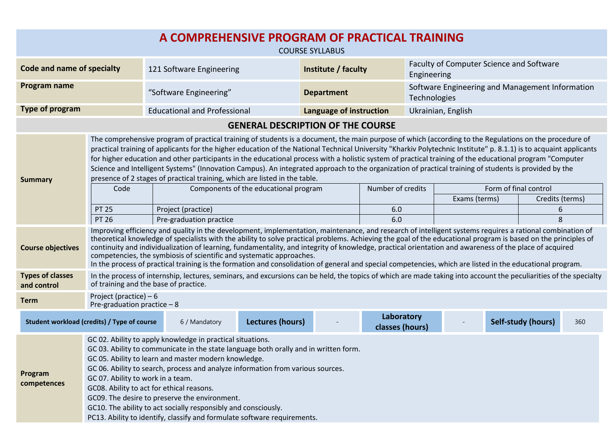| A COMPREHENSIVE PROGRAM OF PRACTICAL TRAINING<br><b>COURSE SYLLABUS</b> |                                                                                                                                                                                                                                                                                                                                                                                                                                                                                                                                                                                                                                                                                                                                 |                                                                |                  |                     |                               |                                                                 |  |                       |                    |                      |  |
|-------------------------------------------------------------------------|---------------------------------------------------------------------------------------------------------------------------------------------------------------------------------------------------------------------------------------------------------------------------------------------------------------------------------------------------------------------------------------------------------------------------------------------------------------------------------------------------------------------------------------------------------------------------------------------------------------------------------------------------------------------------------------------------------------------------------|----------------------------------------------------------------|------------------|---------------------|-------------------------------|-----------------------------------------------------------------|--|-----------------------|--------------------|----------------------|--|
| <b>Code and name of specialty</b>                                       |                                                                                                                                                                                                                                                                                                                                                                                                                                                                                                                                                                                                                                                                                                                                 | 121 Software Engineering                                       |                  | Institute / faculty |                               | Faculty of Computer Science and Software<br>Engineering         |  |                       |                    |                      |  |
| Program name                                                            |                                                                                                                                                                                                                                                                                                                                                                                                                                                                                                                                                                                                                                                                                                                                 | "Software Engineering"                                         |                  | <b>Department</b>   |                               | Software Engineering and Management Information<br>Technologies |  |                       |                    |                      |  |
| Type of program                                                         |                                                                                                                                                                                                                                                                                                                                                                                                                                                                                                                                                                                                                                                                                                                                 | <b>Educational and Professional</b><br>Language of instruction |                  |                     |                               | Ukrainian, English                                              |  |                       |                    |                      |  |
| <b>GENERAL DESCRIPTION OF THE COURSE</b>                                |                                                                                                                                                                                                                                                                                                                                                                                                                                                                                                                                                                                                                                                                                                                                 |                                                                |                  |                     |                               |                                                                 |  |                       |                    |                      |  |
| <b>Summary</b>                                                          | The comprehensive program of practical training of students is a document, the main purpose of which (according to the Regulations on the procedure of<br>practical training of applicants for the higher education of the National Technical University "Kharkiv Polytechnic Institute" p. 8.1.1) is to acquaint applicants<br>for higher education and other participants in the educational process with a holistic system of practical training of the educational program "Computer<br>Science and Intelligent Systems" (Innovation Campus). An integrated approach to the organization of practical training of students is provided by the<br>presence of 2 stages of practical training, which are listed in the table. |                                                                |                  |                     |                               |                                                                 |  |                       |                    |                      |  |
|                                                                         | Code                                                                                                                                                                                                                                                                                                                                                                                                                                                                                                                                                                                                                                                                                                                            | Components of the educational program                          |                  | Number of credits   |                               |                                                                 |  | Form of final control |                    |                      |  |
|                                                                         | <b>PT 25</b>                                                                                                                                                                                                                                                                                                                                                                                                                                                                                                                                                                                                                                                                                                                    | Project (practice)                                             |                  |                     | 6.0                           |                                                                 |  | Exams (terms)         |                    | Credits (terms)<br>6 |  |
|                                                                         | <b>PT 26</b>                                                                                                                                                                                                                                                                                                                                                                                                                                                                                                                                                                                                                                                                                                                    | Pre-graduation practice                                        |                  |                     | 6.0                           |                                                                 |  |                       |                    | 8                    |  |
| <b>Course objectives</b>                                                | Improving efficiency and quality in the development, implementation, maintenance, and research of intelligent systems requires a rational combination of<br>theoretical knowledge of specialists with the ability to solve practical problems. Achieving the goal of the educational program is based on the principles of<br>continuity and individualization of learning, fundamentality, and integrity of knowledge, practical orientation and awareness of the place of acquired<br>competencies, the symbiosis of scientific and systematic approaches.<br>In the process of practical training is the formation and consolidation of general and special competencies, which are listed in the educational program.       |                                                                |                  |                     |                               |                                                                 |  |                       |                    |                      |  |
| <b>Types of classes</b><br>and control                                  | In the process of internship, lectures, seminars, and excursions can be held, the topics of which are made taking into account the peculiarities of the specialty<br>of training and the base of practice.                                                                                                                                                                                                                                                                                                                                                                                                                                                                                                                      |                                                                |                  |                     |                               |                                                                 |  |                       |                    |                      |  |
| <b>Term</b>                                                             | Project (practice) $-6$<br>Pre-graduation practice $-8$                                                                                                                                                                                                                                                                                                                                                                                                                                                                                                                                                                                                                                                                         |                                                                |                  |                     |                               |                                                                 |  |                       |                    |                      |  |
| Student workload (credits) / Type of course                             |                                                                                                                                                                                                                                                                                                                                                                                                                                                                                                                                                                                                                                                                                                                                 | 6 / Mandatory                                                  | Lectures (hours) |                     | Laboratory<br>classes (hours) |                                                                 |  |                       | Self-study (hours) | 360                  |  |
| Program<br>competences                                                  | GC 02. Ability to apply knowledge in practical situations.<br>GC 03. Ability to communicate in the state language both orally and in written form.<br>GC 05. Ability to learn and master modern knowledge.<br>GC 06. Ability to search, process and analyze information from various sources.<br>GC 07. Ability to work in a team.<br>GC08. Ability to act for ethical reasons.<br>GC09. The desire to preserve the environment.<br>GC10. The ability to act socially responsibly and consciously.<br>PC13. Ability to identify, classify and formulate software requirements.                                                                                                                                                  |                                                                |                  |                     |                               |                                                                 |  |                       |                    |                      |  |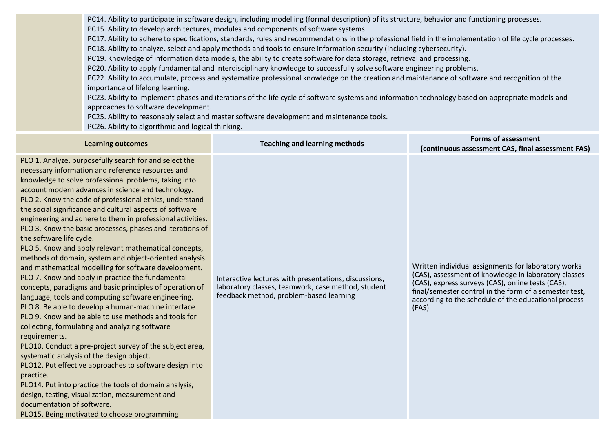PC14. Ability to participate in software design, including modelling (formal description) of its structure, behavior and functioning processes.

PC15. Ability to develop architectures, modules and components of software systems.

PC17. Ability to adhere to specifications, standards, rules and recommendations in the professional field in the implementation of life cycle processes.

PC18. Ability to analyze, select and apply methods and tools to ensure information security (including cybersecurity).

PC19. Knowledge of information data models, the ability to create software for data storage, retrieval and processing.

PC20. Ability to apply fundamental and interdisciplinary knowledge to successfully solve software engineering problems.

PC22. Ability to accumulate, process and systematize professional knowledge on the creation and maintenance of software and recognition of the importance of lifelong learning.

PC23. Ability to implement phases and iterations of the life cycle of software systems and information technology based on appropriate models and approaches to software development.

PC25. Ability to reasonably select and master software development and maintenance tools.

PC26. Ability to algorithmic and logical thinking.

| <b>Learning outcomes</b>                                                                                                                                                                                                                                                                                                                                                                                                                                                                                                                                                                                                                                                                                                                                                                                                                                                                                                                                                                                                                                                                                                                                                                                                                                                                                                                                                                                                   | <b>Teaching and learning methods</b>                                                                                                                   | <b>Forms of assessment</b><br>(continuous assessment CAS, final assessment FAS)                                                                                                                                                                                                             |
|----------------------------------------------------------------------------------------------------------------------------------------------------------------------------------------------------------------------------------------------------------------------------------------------------------------------------------------------------------------------------------------------------------------------------------------------------------------------------------------------------------------------------------------------------------------------------------------------------------------------------------------------------------------------------------------------------------------------------------------------------------------------------------------------------------------------------------------------------------------------------------------------------------------------------------------------------------------------------------------------------------------------------------------------------------------------------------------------------------------------------------------------------------------------------------------------------------------------------------------------------------------------------------------------------------------------------------------------------------------------------------------------------------------------------|--------------------------------------------------------------------------------------------------------------------------------------------------------|---------------------------------------------------------------------------------------------------------------------------------------------------------------------------------------------------------------------------------------------------------------------------------------------|
| PLO 1. Analyze, purposefully search for and select the<br>necessary information and reference resources and<br>knowledge to solve professional problems, taking into<br>account modern advances in science and technology.<br>PLO 2. Know the code of professional ethics, understand<br>the social significance and cultural aspects of software<br>engineering and adhere to them in professional activities.<br>PLO 3. Know the basic processes, phases and iterations of<br>the software life cycle.<br>PLO 5. Know and apply relevant mathematical concepts,<br>methods of domain, system and object-oriented analysis<br>and mathematical modelling for software development.<br>PLO 7. Know and apply in practice the fundamental<br>concepts, paradigms and basic principles of operation of<br>language, tools and computing software engineering.<br>PLO 8. Be able to develop a human-machine interface.<br>PLO 9. Know and be able to use methods and tools for<br>collecting, formulating and analyzing software<br>requirements.<br>PLO10. Conduct a pre-project survey of the subject area,<br>systematic analysis of the design object.<br>PLO12. Put effective approaches to software design into<br>practice.<br>PLO14. Put into practice the tools of domain analysis,<br>design, testing, visualization, measurement and<br>documentation of software.<br>PLO15. Being motivated to choose programming | Interactive lectures with presentations, discussions,<br>laboratory classes, teamwork, case method, student<br>feedback method, problem-based learning | Written individual assignments for laboratory works<br>(CAS), assessment of knowledge in laboratory classes<br>(CAS), express surveys (CAS), online tests (CAS),<br>final/semester control in the form of a semester test,<br>according to the schedule of the educational process<br>(FAS) |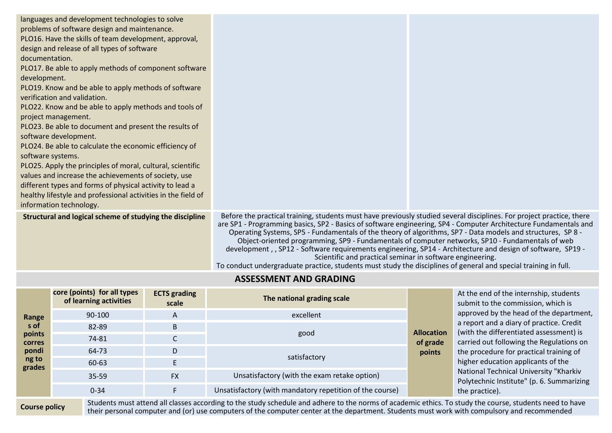| languages and development technologies to solve<br>problems of software design and maintenance.<br>PLO16. Have the skills of team development, approval,<br>design and release of all types of software<br>documentation.<br>PLO17. Be able to apply methods of component software<br>development.<br>PLO19. Know and be able to apply methods of software<br>verification and validation.<br>PLO22. Know and be able to apply methods and tools of<br>project management.<br>PLO23. Be able to document and present the results of<br>software development.<br>PLO24. Be able to calculate the economic efficiency of<br>software systems.<br>PLO25. Apply the principles of moral, cultural, scientific<br>values and increase the achievements of society, use<br>different types and forms of physical activity to lead a<br>healthy lifestyle and professional activities in the field of<br>information technology. |                                                                                                                                                                                                                                                                                                                                                                                                                                                                                                                                                                                                                                                                                                                                                            |  |  |
|---------------------------------------------------------------------------------------------------------------------------------------------------------------------------------------------------------------------------------------------------------------------------------------------------------------------------------------------------------------------------------------------------------------------------------------------------------------------------------------------------------------------------------------------------------------------------------------------------------------------------------------------------------------------------------------------------------------------------------------------------------------------------------------------------------------------------------------------------------------------------------------------------------------------------|------------------------------------------------------------------------------------------------------------------------------------------------------------------------------------------------------------------------------------------------------------------------------------------------------------------------------------------------------------------------------------------------------------------------------------------------------------------------------------------------------------------------------------------------------------------------------------------------------------------------------------------------------------------------------------------------------------------------------------------------------------|--|--|
| Structural and logical scheme of studying the discipline                                                                                                                                                                                                                                                                                                                                                                                                                                                                                                                                                                                                                                                                                                                                                                                                                                                                  | Before the practical training, students must have previously studied several disciplines. For project practice, there<br>are SP1 - Programming basics, SP2 - Basics of software engineering, SP4 - Computer Architecture Fundamentals and<br>Operating Systems, SP5 - Fundamentals of the theory of algorithms, SP7 - Data models and structures, SP 8 -<br>Object-oriented programming, SP9 - Fundamentals of computer networks, SP10 - Fundamentals of web<br>development,, SP12 - Software requirements engineering, SP14 - Architecture and design of software, SP19 -<br>Scientific and practical seminar in software engineering.<br>To conduct undergraduate practice, students must study the disciplines of general and special training in full. |  |  |

## **ASSESSMENT AND GRADING**

| Range<br>s of<br>points<br>corres | core (points) for all types<br>of learning activities | <b>ECTS</b> grading<br>scale | The national grading scale                               |                    | At the end of the internship, students<br>submit to the commission, which is<br>approved by the head of the department                                               |  |
|-----------------------------------|-------------------------------------------------------|------------------------------|----------------------------------------------------------|--------------------|----------------------------------------------------------------------------------------------------------------------------------------------------------------------|--|
|                                   | 90-100                                                | A                            | excellent                                                |                    |                                                                                                                                                                      |  |
|                                   | 82-89                                                 | B.                           | <b>Allocation</b><br>good                                |                    | a report and a diary of practice. Credit<br>(with the differentiated assessment) is                                                                                  |  |
|                                   | 74-81                                                 |                              |                                                          |                    | carried out following the Regulations on                                                                                                                             |  |
| pondi                             | 64-73                                                 | D                            | satisfactory                                             | of grade<br>points | the procedure for practical training of<br>higher education applicants of the<br>National Technical University "Kharkiv<br>Polytechnic Institute" (p. 6. Summarizing |  |
| ng to<br>grades                   | 60-63                                                 |                              |                                                          |                    |                                                                                                                                                                      |  |
|                                   | 35-59                                                 | <b>FX</b>                    | Unsatisfactory (with the exam retake option)             |                    |                                                                                                                                                                      |  |
|                                   | $0 - 34$                                              |                              | Unsatisfactory (with mandatory repetition of the course) |                    | the practice).                                                                                                                                                       |  |
|                                   | $\sim$ $\sim$ $\sim$                                  |                              |                                                          |                    |                                                                                                                                                                      |  |

**Course policy** 

Students must attend all classes according to the study schedule and adhere to the norms of academic ethics. To study the course, students need to have<br>their personal computer and (or) use computers of the computer center